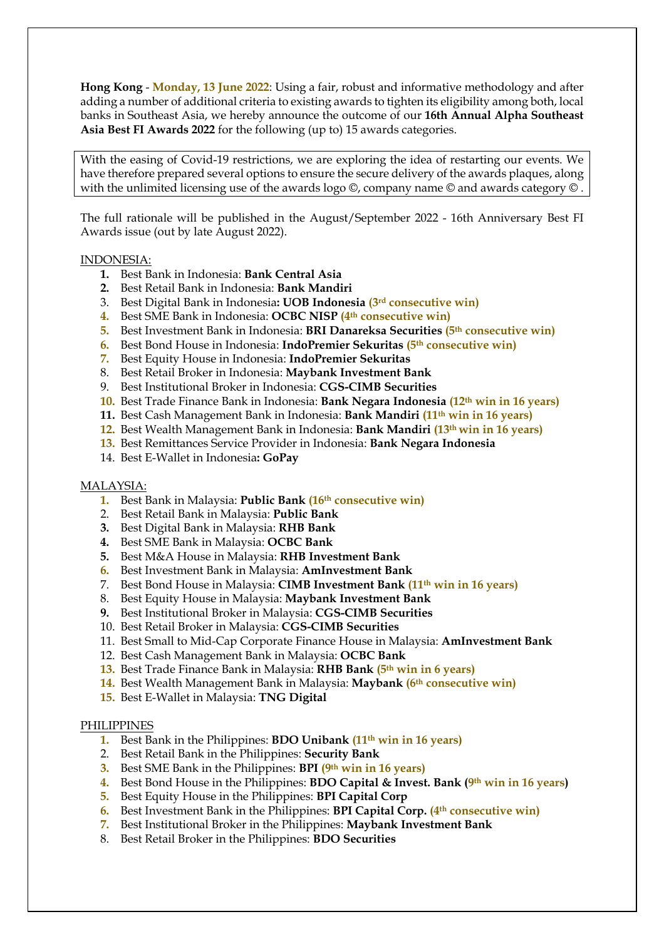**Hong Kong** - **Monday, 13 June 2022**: Using a fair, robust and informative methodology and after adding a number of additional criteria to existing awards to tighten its eligibility among both, local banks in Southeast Asia, we hereby announce the outcome of our **16th Annual Alpha Southeast Asia Best FI Awards 2022** for the following (up to) 15 awards categories.

With the easing of Covid-19 restrictions, we are exploring the idea of restarting our events. We have therefore prepared several options to ensure the secure delivery of the awards plaques, along with the unlimited licensing use of the awards logo ©, company name © and awards category © .

The full rationale will be published in the August/September 2022 - 16th Anniversary Best FI Awards issue (out by late August 2022).

### INDONESIA:

- **1.** Best Bank in Indonesia: **Bank Central Asia**
- **2.** Best Retail Bank in Indonesia: **Bank Mandiri**
- 3. Best Digital Bank in Indonesia**: UOB Indonesia (3rd consecutive win)**
- **4.** Best SME Bank in Indonesia: **OCBC NISP (4th consecutive win)**
- **5.** Best Investment Bank in Indonesia: **BRI Danareksa Securities (5th consecutive win)**
- **6.** Best Bond House in Indonesia: **IndoPremier Sekuritas (5th consecutive win)**
- **7.** Best Equity House in Indonesia: **IndoPremier Sekuritas**
- 8. Best Retail Broker in Indonesia: **Maybank Investment Bank**
- 9. Best Institutional Broker in Indonesia: **CGS-CIMB Securities**
- **10.** Best Trade Finance Bank in Indonesia: **Bank Negara Indonesia (12th win in 16 years)**
- **11.** Best Cash Management Bank in Indonesia: **Bank Mandiri (11th win in 16 years)**
- **12.** Best Wealth Management Bank in Indonesia: **Bank Mandiri (13th win in 16 years)**
- **13.** Best Remittances Service Provider in Indonesia: **Bank Negara Indonesia**
- 14. Best E-Wallet in Indonesia**: GoPay**

#### MALAYSIA:

- **1.** Best Bank in Malaysia: **Public Bank (16th consecutive win)**
- 2. Best Retail Bank in Malaysia: **Public Bank**
- **3.** Best Digital Bank in Malaysia: **RHB Bank**
- **4.** Best SME Bank in Malaysia: **OCBC Bank**
- **5.** Best M&A House in Malaysia: **RHB Investment Bank**
- **6.** Best Investment Bank in Malaysia: **AmInvestment Bank**
- 7. Best Bond House in Malaysia: **CIMB Investment Bank (11th win in 16 years)**
- 8. Best Equity House in Malaysia: **Maybank Investment Bank**
- **9.** Best Institutional Broker in Malaysia: **CGS-CIMB Securities**
- 10. Best Retail Broker in Malaysia: **CGS-CIMB Securities**
- 11. Best Small to Mid-Cap Corporate Finance House in Malaysia: **AmInvestment Bank**
- 12. Best Cash Management Bank in Malaysia: **OCBC Bank**
- **13.** Best Trade Finance Bank in Malaysia: **RHB Bank (5th win in 6 years)**
- **14.** Best Wealth Management Bank in Malaysia: **Maybank (6th consecutive win)**
- **15.** Best E-Wallet in Malaysia: **TNG Digital**

#### PHILIPPINES

- **1.** Best Bank in the Philippines: **BDO Unibank (11th win in 16 years)**
- 2. Best Retail Bank in the Philippines: **Security Bank**
- **3.** Best SME Bank in the Philippines: **BPI (9th win in 16 years)**
- **4.** Best Bond House in the Philippines: **BDO Capital & Invest. Bank (9th win in 16 years)**
- **5.** Best Equity House in the Philippines: **BPI Capital Corp**
- **6.** Best Investment Bank in the Philippines: **BPI Capital Corp. (4th consecutive win)**
- **7.** Best Institutional Broker in the Philippines: **Maybank Investment Bank**
- 8. Best Retail Broker in the Philippines: **BDO Securities**